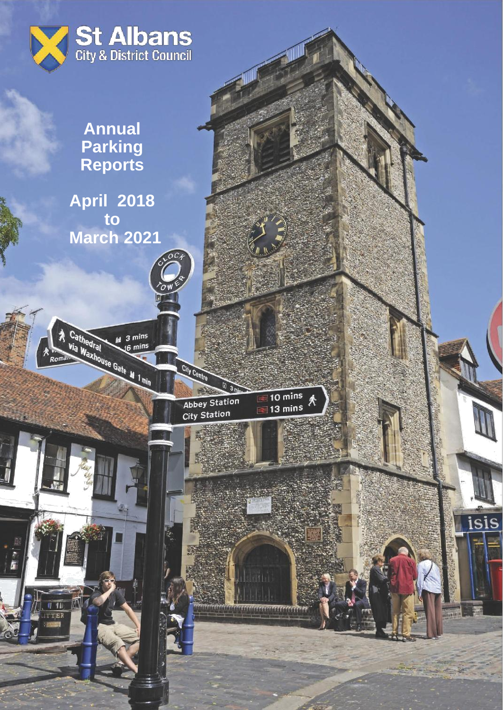

**Annual Parking Reports**

**April 2018 to March 2021**

 $M$  3 mins

Cathedral Maxhouse Gate M 1 min

athedral

瓜

 $\sqrt{11}$ 

TTEE

Abbey Station

 $\sqrt{3}$ 

City Centre



maran

isis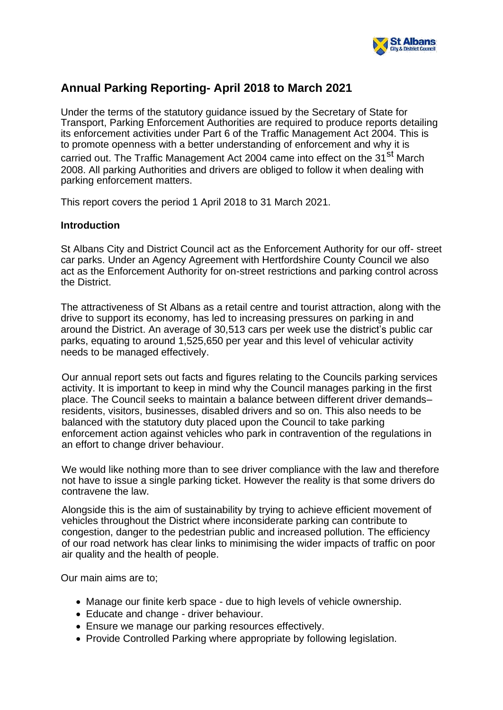

# **Annual Parking Reporting- April 2018 to March 2021**

Under the terms of the statutory guidance issued by the Secretary of State for Transport, Parking Enforcement Authorities are required to produce reports detailing its enforcement activities under Part 6 of the Traffic Management Act 2004. This is to promote openness with a better understanding of enforcement and why it is carried out. The Traffic Management Act 2004 came into effect on the 31<sup>st</sup> March 2008. All parking Authorities and drivers are obliged to follow it when dealing with parking enforcement matters.

This report covers the period 1 April 2018 to 31 March 2021.

## **Introduction**

St Albans City and District Council act as the Enforcement Authority for our off- street car parks. Under an Agency Agreement with Hertfordshire County Council we also act as the Enforcement Authority for on-street restrictions and parking control across the District.

The attractiveness of St Albans as a retail centre and tourist attraction, along with the drive to support its economy, has led to increasing pressures on parking in and around the District. An average of 30,513 cars per week use the district's public car parks, equating to around 1,525,650 per year and this level of vehicular activity needs to be managed effectively.

Our annual report sets out facts and figures relating to the Councils parking services activity. It is important to keep in mind why the Council manages parking in the first place. The Council seeks to maintain a balance between different driver demands– residents, visitors, businesses, disabled drivers and so on. This also needs to be balanced with the statutory duty placed upon the Council to take parking enforcement action against vehicles who park in contravention of the regulations in an effort to change driver behaviour.

We would like nothing more than to see driver compliance with the law and therefore not have to issue a single parking ticket. However the reality is that some drivers do contravene the law.

Alongside this is the aim of sustainability by trying to achieve efficient movement of vehicles throughout the District where inconsiderate parking can contribute to congestion, danger to the pedestrian public and increased pollution. The efficiency of our road network has clear links to minimising the wider impacts of traffic on poor air quality and the health of people.

Our main aims are to;

- Manage our finite kerb space due to high levels of vehicle ownership.
- Educate and change driver behaviour.
- Ensure we manage our parking resources effectively.
- Provide Controlled Parking where appropriate by following legislation.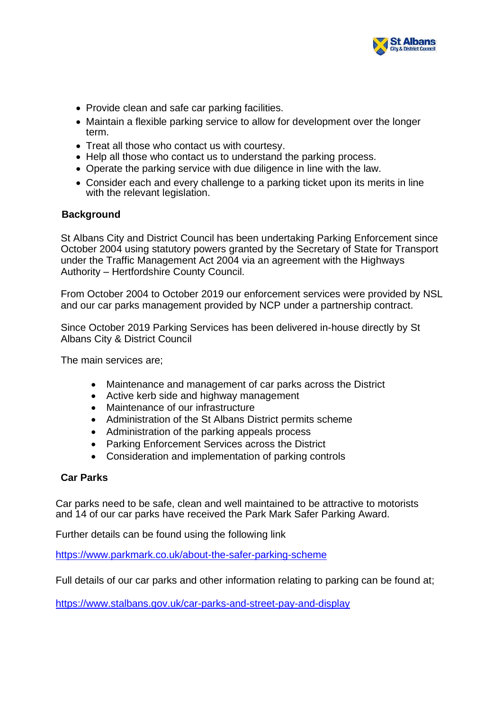

- Provide clean and safe car parking facilities.
- Maintain a flexible parking service to allow for development over the longer term.
- Treat all those who contact us with courtesy.
- Help all those who contact us to understand the parking process.
- Operate the parking service with due diligence in line with the law.
- Consider each and every challenge to a parking ticket upon its merits in line with the relevant legislation.

### **Background**

St Albans City and District Council has been undertaking Parking Enforcement since October 2004 using statutory powers granted by the Secretary of State for Transport under the Traffic Management Act 2004 via an agreement with the Highways Authority – Hertfordshire County Council.

From October 2004 to October 2019 our enforcement services were provided by NSL and our car parks management provided by NCP under a partnership contract.

Since October 2019 Parking Services has been delivered in-house directly by St Albans City & District Council

The main services are;

- Maintenance and management of car parks across the District
- Active kerb side and highway management
- Maintenance of our infrastructure
- Administration of the St Albans District permits scheme
- Administration of the parking appeals process
- Parking Enforcement Services across the District
- Consideration and implementation of parking controls

### **Car Parks**

Car parks need to be safe, clean and well maintained to be attractive to motorists and 14 of our car parks have received the Park Mark Safer Parking Award.

Further details can be found using the following link

<https://www.parkmark.co.uk/about-the-safer-parking-scheme>

Full details of our car parks and other information relating to parking can be found at;

<https://www.stalbans.gov.uk/car-parks-and-street-pay-and-display>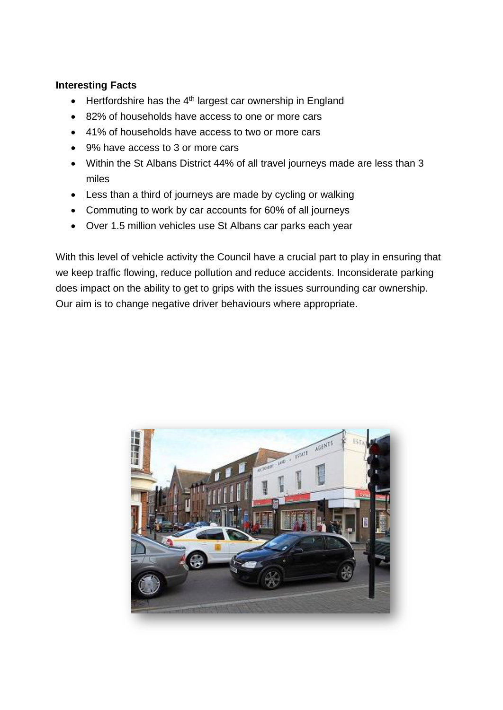## **Interesting Facts**

- $\bullet$  Hertfordshire has the 4<sup>th</sup> largest car ownership in England
- 82% of households have access to one or more cars
- 41% of households have access to two or more cars
- 9% have access to 3 or more cars
- Within the St Albans District 44% of all travel journeys made are less than 3 miles
- Less than a third of journeys are made by cycling or walking
- Commuting to work by car accounts for 60% of all journeys
- Over 1.5 million vehicles use St Albans car parks each year

With this level of vehicle activity the Council have a crucial part to play in ensuring that we keep traffic flowing, reduce pollution and reduce accidents. Inconsiderate parking does impact on the ability to get to grips with the issues surrounding car ownership. Our aim is to change negative driver behaviours where appropriate.

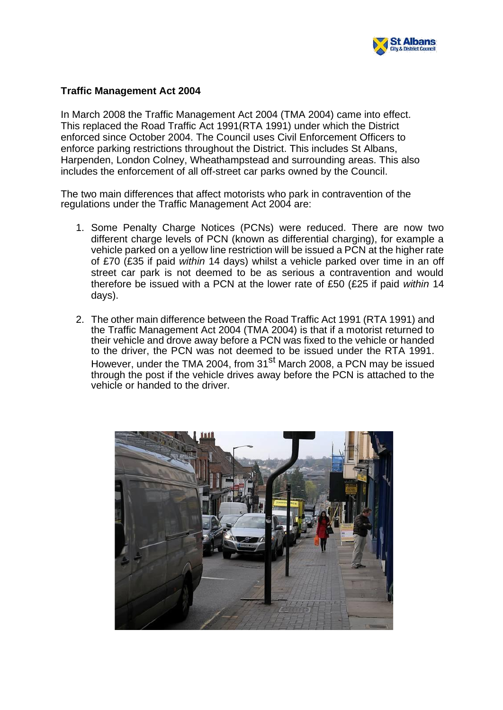

### **Traffic Management Act 2004**

In March 2008 the Traffic Management Act 2004 (TMA 2004) came into effect. This replaced the Road Traffic Act 1991(RTA 1991) under which the District enforced since October 2004. The Council uses Civil Enforcement Officers to enforce parking restrictions throughout the District. This includes St Albans, Harpenden, London Colney, Wheathampstead and surrounding areas. This also includes the enforcement of all off-street car parks owned by the Council.

The two main differences that affect motorists who park in contravention of the regulations under the Traffic Management Act 2004 are:

- 1. Some Penalty Charge Notices (PCNs) were reduced. There are now two different charge levels of PCN (known as differential charging), for example a vehicle parked on a yellow line restriction will be issued a PCN at the higher rate of £70 (£35 if paid *within* 14 days) whilst a vehicle parked over time in an off street car park is not deemed to be as serious a contravention and would therefore be issued with a PCN at the lower rate of £50 (£25 if paid *within* 14 days).
- 2. The other main difference between the Road Traffic Act 1991 (RTA 1991) and the Traffic Management Act 2004 (TMA 2004) is that if a motorist returned to their vehicle and drove away before a PCN was fixed to the vehicle or handed to the driver, the PCN was not deemed to be issued under the RTA 1991. However, under the TMA 2004, from 31<sup>st</sup> March 2008, a PCN may be issued through the post if the vehicle drives away before the PCN is attached to the vehicle or handed to the driver.

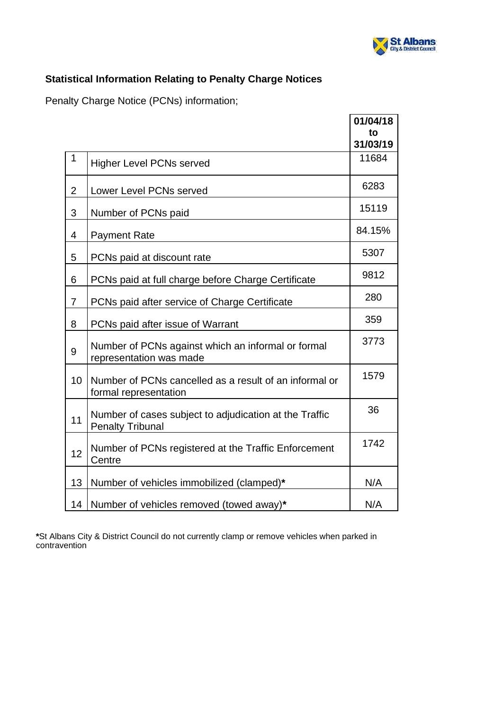

## **Statistical Information Relating to Penalty Charge Notices**

Penalty Charge Notice (PCNs) information;

|                 |                                                                                   | 01/04/18<br>to    |
|-----------------|-----------------------------------------------------------------------------------|-------------------|
| 1               | <b>Higher Level PCNs served</b>                                                   | 31/03/19<br>11684 |
| $\overline{2}$  | Lower Level PCNs served                                                           | 6283              |
| 3               | Number of PCNs paid                                                               | 15119             |
| 4               | <b>Payment Rate</b>                                                               | 84.15%            |
| 5               | PCNs paid at discount rate                                                        | 5307              |
| 6               | PCNs paid at full charge before Charge Certificate                                | 9812              |
| $\overline{7}$  | PCNs paid after service of Charge Certificate                                     | 280               |
| 8               | PCNs paid after issue of Warrant                                                  | 359               |
| 9               | Number of PCNs against which an informal or formal<br>representation was made     | 3773              |
| 10 <sup>1</sup> | Number of PCNs cancelled as a result of an informal or<br>formal representation   | 1579              |
| 11              | Number of cases subject to adjudication at the Traffic<br><b>Penalty Tribunal</b> | 36                |
| 12              | Number of PCNs registered at the Traffic Enforcement<br>Centre                    | 1742              |
| 13              | Number of vehicles immobilized (clamped)*                                         | N/A               |
| 14              | Number of vehicles removed (towed away)*                                          | N/A               |

**\***St Albans City & District Council do not currently clamp or remove vehicles when parked in contravention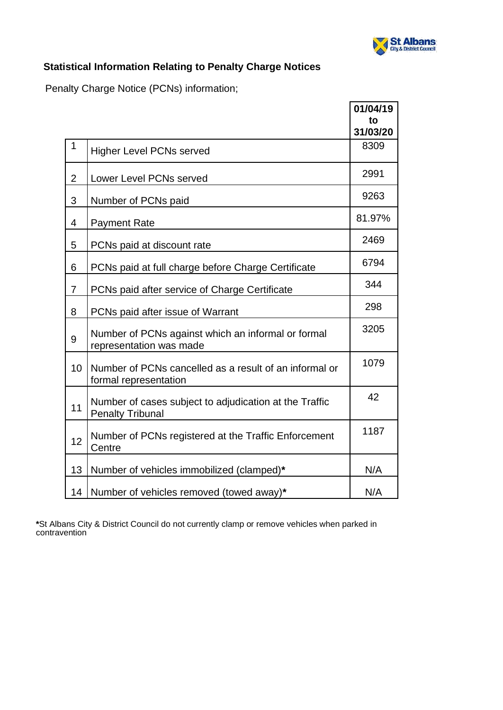

# **Statistical Information Relating to Penalty Charge Notices**

Penalty Charge Notice (PCNs) information;

|                |                                                                                   | 01/04/19<br>to<br>31/03/20 |
|----------------|-----------------------------------------------------------------------------------|----------------------------|
| 1              | <b>Higher Level PCNs served</b>                                                   | 8309                       |
| $\overline{2}$ | Lower Level PCNs served                                                           | 2991                       |
| 3              | Number of PCNs paid                                                               | 9263                       |
| 4              | <b>Payment Rate</b>                                                               | 81.97%                     |
| 5              | PCNs paid at discount rate                                                        | 2469                       |
| 6              | PCNs paid at full charge before Charge Certificate                                | 6794                       |
| $\overline{7}$ | PCNs paid after service of Charge Certificate                                     | 344                        |
| 8              | PCNs paid after issue of Warrant                                                  | 298                        |
| 9              | Number of PCNs against which an informal or formal<br>representation was made     | 3205                       |
| 10             | Number of PCNs cancelled as a result of an informal or<br>formal representation   | 1079                       |
| 11             | Number of cases subject to adjudication at the Traffic<br><b>Penalty Tribunal</b> | 42                         |
| 12             | Number of PCNs registered at the Traffic Enforcement<br>Centre                    | 1187                       |
| 13             | Number of vehicles immobilized (clamped)*                                         | N/A                        |
| 14             | Number of vehicles removed (towed away)*                                          | N/A                        |

**\***St Albans City & District Council do not currently clamp or remove vehicles when parked in contravention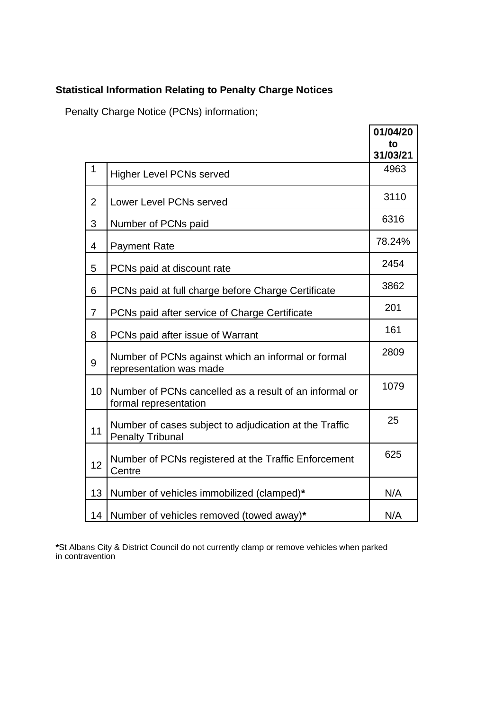# **Statistical Information Relating to Penalty Charge Notices**

Penalty Charge Notice (PCNs) information;

|                |                                                                                   | 01/04/20<br>to<br>31/03/21 |
|----------------|-----------------------------------------------------------------------------------|----------------------------|
| 1              | <b>Higher Level PCNs served</b>                                                   | 4963                       |
| $\overline{2}$ | Lower Level PCNs served                                                           | 3110                       |
| 3              | Number of PCNs paid                                                               | 6316                       |
| 4              | <b>Payment Rate</b>                                                               | 78.24%                     |
| 5              | PCNs paid at discount rate                                                        | 2454                       |
| 6              | PCNs paid at full charge before Charge Certificate                                | 3862                       |
| $\overline{7}$ | PCNs paid after service of Charge Certificate                                     | 201                        |
| 8              | PCNs paid after issue of Warrant                                                  | 161                        |
| 9              | Number of PCNs against which an informal or formal<br>representation was made     | 2809                       |
| 10             | Number of PCNs cancelled as a result of an informal or<br>formal representation   | 1079                       |
| 11             | Number of cases subject to adjudication at the Traffic<br><b>Penalty Tribunal</b> | 25                         |
| 12             | Number of PCNs registered at the Traffic Enforcement<br>Centre                    | 625                        |
| 13             | Number of vehicles immobilized (clamped)*                                         | N/A                        |
| 14             | Number of vehicles removed (towed away)*                                          | N/A                        |

**\***St Albans City & District Council do not currently clamp or remove vehicles when parked in contravention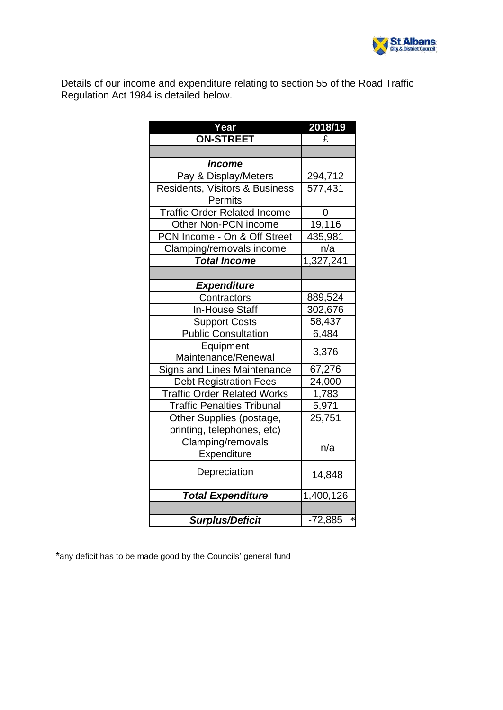

Details of our income and expenditure relating to section 55 of the Road Traffic Regulation Act 1984 is detailed below.

| Year                                | 2018/19             |  |
|-------------------------------------|---------------------|--|
| <b>ON-STREET</b>                    | £                   |  |
|                                     |                     |  |
| Income                              |                     |  |
| Pay & Display/Meters                | 294,712             |  |
| Residents, Visitors & Business      | 577,431             |  |
| Permits                             |                     |  |
| <b>Traffic Order Related Income</b> | 0                   |  |
| Other Non-PCN income                | 19,116              |  |
| PCN Income - On & Off Street        | 435,981             |  |
| Clamping/removals income            | n/a                 |  |
| <b>Total Income</b>                 | 1,327,241           |  |
|                                     |                     |  |
| <b>Expenditure</b>                  |                     |  |
| Contractors                         | 889,524             |  |
| <b>In-House Staff</b>               | 302,676             |  |
| <b>Support Costs</b>                | 58,437              |  |
| <b>Public Consultation</b>          | 6,484               |  |
| Equipment                           | 3,376               |  |
| Maintenance/Renewal                 |                     |  |
| Signs and Lines Maintenance         | 67,276              |  |
| <b>Debt Registration Fees</b>       | 24,000              |  |
| <b>Traffic Order Related Works</b>  | 1,783               |  |
| <b>Traffic Penalties Tribunal</b>   | 5,971               |  |
| Other Supplies (postage,            | 25,751              |  |
| printing, telephones, etc)          |                     |  |
| Clamping/removals                   | n/a                 |  |
| Expenditure                         |                     |  |
| Depreciation                        | 14,848              |  |
|                                     |                     |  |
| <b>Total Expenditure</b>            | 1,400,126           |  |
|                                     |                     |  |
| <b>Surplus/Deficit</b>              | $\ast$<br>$-72,885$ |  |

\*any deficit has to be made good by the Councils' general fund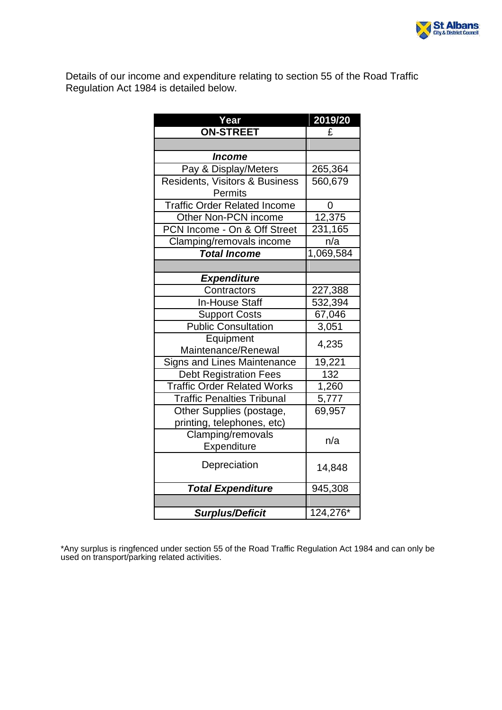

Details of our income and expenditure relating to section 55 of the Road Traffic Regulation Act 1984 is detailed below.

| Year                                | 2019/20   |
|-------------------------------------|-----------|
| <b>ON-STREET</b>                    | £         |
|                                     |           |
| <i><b>Income</b></i>                |           |
| Pay & Display/Meters                | 265,364   |
| Residents, Visitors & Business      | 560,679   |
| Permits                             |           |
| <b>Traffic Order Related Income</b> | 0         |
| Other Non-PCN income                | 12,375    |
| PCN Income - On & Off Street        | 231,165   |
| Clamping/removals income            | n/a       |
| <b>Total Income</b>                 | 1,069,584 |
|                                     |           |
| <b>Expenditure</b>                  |           |
| Contractors                         | 227,388   |
| <b>In-House Staff</b>               | 532,394   |
| <b>Support Costs</b>                | 67,046    |
| <b>Public Consultation</b>          | 3,051     |
| Equipment                           | 4,235     |
| Maintenance/Renewal                 |           |
| <b>Signs and Lines Maintenance</b>  | 19,221    |
| <b>Debt Registration Fees</b>       | 132       |
| <b>Traffic Order Related Works</b>  | 1,260     |
| <b>Traffic Penalties Tribunal</b>   | 5,777     |
| Other Supplies (postage,            | 69,957    |
| printing, telephones, etc)          |           |
| Clamping/removals                   | n/a       |
| Expenditure                         |           |
| Depreciation                        | 14,848    |
| <b>Total Expenditure</b>            | 945,308   |
|                                     |           |
| <b>Surplus/Deficit</b>              | 124,276*  |

\*Any surplus is ringfenced under section 55 of the Road Traffic Regulation Act 1984 and can only be used on transport/parking related activities.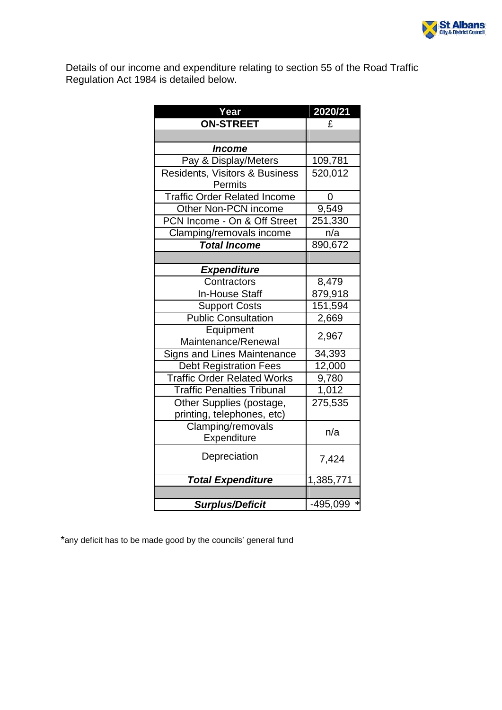

Details of our income and expenditure relating to section 55 of the Road Traffic Regulation Act 1984 is detailed below.

| Year                                | 2020/21            |  |
|-------------------------------------|--------------------|--|
| <b>ON-STREET</b>                    | £                  |  |
|                                     |                    |  |
| Income                              |                    |  |
| Pay & Display/Meters                | 109,781            |  |
| Residents, Visitors & Business      | 520,012            |  |
| Permits                             |                    |  |
| <b>Traffic Order Related Income</b> | 0                  |  |
| Other Non-PCN income                | 9,549              |  |
| PCN Income - On & Off Street        | 251,330            |  |
| Clamping/removals income            | n/a                |  |
| <b>Total Income</b>                 | 890,672            |  |
|                                     |                    |  |
| <b>Expenditure</b>                  |                    |  |
| Contractors                         | 8,479              |  |
| <b>In-House Staff</b>               | 879,918            |  |
| <b>Support Costs</b>                | 151,594            |  |
| <b>Public Consultation</b>          | 2,669              |  |
| Equipment                           | 2,967              |  |
| Maintenance/Renewal                 |                    |  |
| Signs and Lines Maintenance         | 34,393             |  |
| <b>Debt Registration Fees</b>       | 12,000             |  |
| <b>Traffic Order Related Works</b>  | 9,780              |  |
| <b>Traffic Penalties Tribunal</b>   | 1,012              |  |
| Other Supplies (postage,            | 275,535            |  |
| printing, telephones, etc)          |                    |  |
| Clamping/removals                   | n/a                |  |
| Expenditure                         |                    |  |
| Depreciation                        | 7,424              |  |
| <b>Total Expenditure</b>            | 1,385,771          |  |
|                                     |                    |  |
| <b>Surplus/Deficit</b>              | $\ast$<br>-495,099 |  |

\*any deficit has to be made good by the councils' general fund